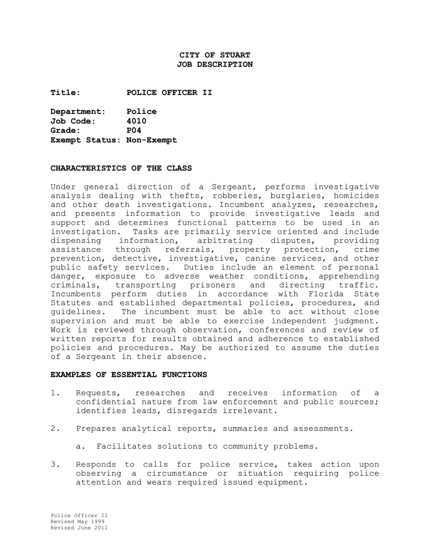# **CITY OF STUART JOB DESCRIPTION**

**Title: POLICE OFFICER II**

**Department: Police Job Code: 4010 Grade: P04 Exempt Status: Non-Exempt**

#### **CHARACTERISTICS OF THE CLASS**

Under general direction of a Sergeant, performs investigative analysis dealing with thefts, robberies, burglaries, homicides and other death investigations. Incumbent analyzes, researches, and presents information to provide investigative leads and support and determines functional patterns to be used in an investigation. Tasks are primarily service oriented and include dispensing information, arbitrating disputes, providing assistance through referrals, property protection, crime prevention, detective, investigative, canine services, and other public safety services. Duties include an element of personal danger, exposure to adverse weather conditions, apprehending criminals, transporting prisoners and directing traffic. Incumbents perform duties in accordance with Florida State Statutes and established departmental policies, procedures, and guidelines. The incumbent must be able to act without close supervision and must be able to exercise independent judgment. Work is reviewed through observation, conferences and review of written reports for results obtained and adherence to established policies and procedures. May be authorized to assume the duties of a Sergeant in their absence.

#### **EXAMPLES OF ESSENTIAL FUNCTIONS**

- 1. Requests, researches and receives information of a confidential nature from law enforcement and public sources; identifies leads, disregards irrelevant.
- 2. Prepares analytical reports, summaries and assessments.
	- a. Facilitates solutions to community problems.
- 3. Responds to calls for police service, takes action upon observing a circumstance or situation requiring police attention and wears required issued equipment.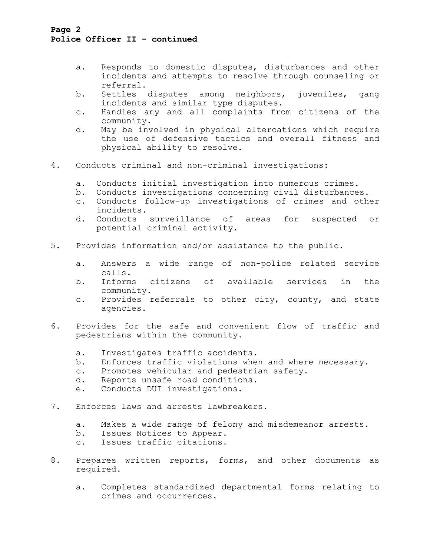# **Page 2 Police Officer II - continued**

- a. Responds to domestic disputes, disturbances and other incidents and attempts to resolve through counseling or referral.
- b. Settles disputes among neighbors, juveniles, gang incidents and similar type disputes.
- c. Handles any and all complaints from citizens of the community.
- d. May be involved in physical altercations which require the use of defensive tactics and overall fitness and physical ability to resolve.
- 4. Conducts criminal and non-criminal investigations:
	- a. Conducts initial investigation into numerous crimes.
	- b. Conducts investigations concerning civil disturbances.
	- c. Conducts follow-up investigations of crimes and other incidents.
	- d. Conducts surveillance of areas for suspected or potential criminal activity.
- 5. Provides information and/or assistance to the public.
	- a. Answers a wide range of non-police related service calls.
	- b. Informs citizens of available services in the community.
	- c. Provides referrals to other city, county, and state agencies.
- 6. Provides for the safe and convenient flow of traffic and pedestrians within the community.
	- a. Investigates traffic accidents.
	- b. Enforces traffic violations when and where necessary.
	- c. Promotes vehicular and pedestrian safety.
	- d. Reports unsafe road conditions.
	- e. Conducts DUI investigations.
- 7. Enforces laws and arrests lawbreakers.
	- a. Makes a wide range of felony and misdemeanor arrests.
	- b. Issues Notices to Appear.
	- c. Issues traffic citations.
- 8. Prepares written reports, forms, and other documents as required.
	- a. Completes standardized departmental forms relating to crimes and occurrences.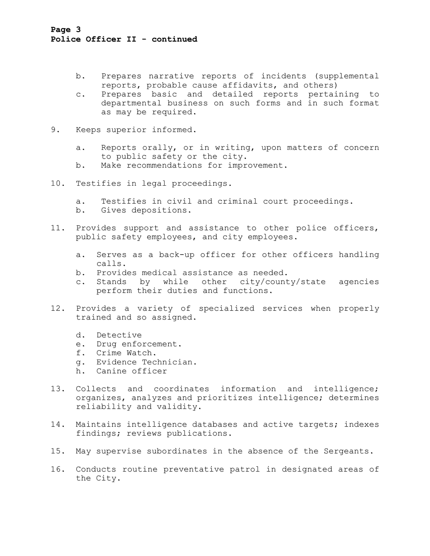### **Page 3 Police Officer II - continued**

- b. Prepares narrative reports of incidents (supplemental reports, probable cause affidavits, and others)
- c. Prepares basic and detailed reports pertaining to departmental business on such forms and in such format as may be required.
- 9. Keeps superior informed.
	- a. Reports orally, or in writing, upon matters of concern to public safety or the city.
	- b. Make recommendations for improvement.
- 10. Testifies in legal proceedings.
	- a. Testifies in civil and criminal court proceedings.
	- b. Gives depositions.
- 11. Provides support and assistance to other police officers, public safety employees, and city employees.
	- a. Serves as a back-up officer for other officers handling calls.
	- b. Provides medical assistance as needed.
	- c. Stands by while other city/county/state agencies perform their duties and functions.
- 12. Provides a variety of specialized services when properly trained and so assigned.
	- d. Detective
	- e. Drug enforcement.
	- f. Crime Watch.
	- g. Evidence Technician.
	- h. Canine officer
- 13. Collects and coordinates information and intelligence; organizes, analyzes and prioritizes intelligence; determines reliability and validity.
- 14. Maintains intelligence databases and active targets; indexes findings; reviews publications.
- 15. May supervise subordinates in the absence of the Sergeants.
- 16. Conducts routine preventative patrol in designated areas of the City.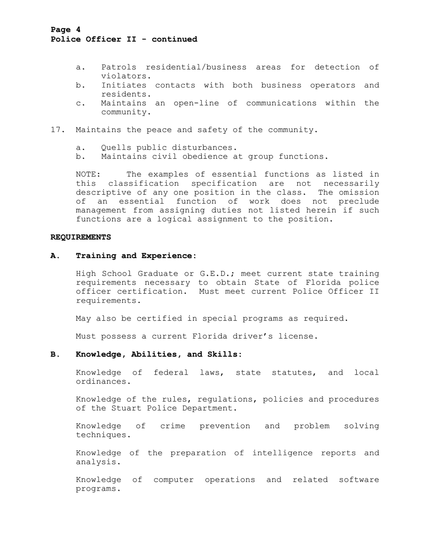### **Page 4 Police Officer II - continued**

- a. Patrols residential/business areas for detection of violators.
- b. Initiates contacts with both business operators and residents.
- c. Maintains an open-line of communications within the community.
- 17. Maintains the peace and safety of the community.
	- a. Quells public disturbances.
	- b. Maintains civil obedience at group functions.

NOTE: The examples of essential functions as listed in this classification specification are not necessarily descriptive of any one position in the class. The omission of an essential function of work does not preclude management from assigning duties not listed herein if such functions are a logical assignment to the position.

#### **REQUIREMENTS**

### **A. Training and Experience:**

High School Graduate or G.E.D.; meet current state training requirements necessary to obtain State of Florida police officer certification. Must meet current Police Officer II requirements.

May also be certified in special programs as required.

Must possess a current Florida driver's license.

#### **B. Knowledge, Abilities, and Skills:**

Knowledge of federal laws, state statutes, and local ordinances.

Knowledge of the rules, regulations, policies and procedures of the Stuart Police Department.

Knowledge of crime prevention and problem solving techniques.

Knowledge of the preparation of intelligence reports and analysis.

Knowledge of computer operations and related software programs.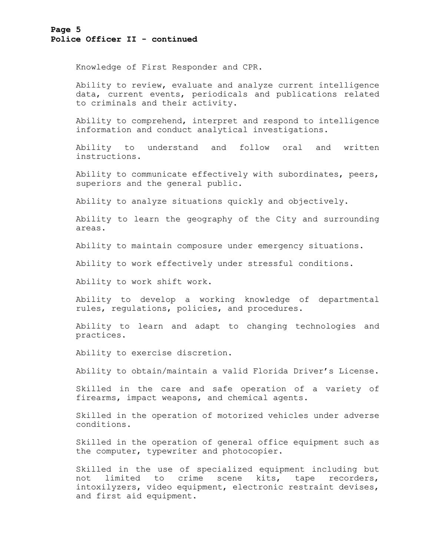### **Page 5 Police Officer II - continued**

Knowledge of First Responder and CPR.

Ability to review, evaluate and analyze current intelligence data, current events, periodicals and publications related to criminals and their activity.

Ability to comprehend, interpret and respond to intelligence information and conduct analytical investigations.

Ability to understand and follow oral and written instructions.

Ability to communicate effectively with subordinates, peers, superiors and the general public.

Ability to analyze situations quickly and objectively.

Ability to learn the geography of the City and surrounding areas.

Ability to maintain composure under emergency situations.

Ability to work effectively under stressful conditions.

Ability to work shift work.

Ability to develop a working knowledge of departmental rules, regulations, policies, and procedures.

Ability to learn and adapt to changing technologies and practices.

Ability to exercise discretion.

Ability to obtain/maintain a valid Florida Driver's License.

Skilled in the care and safe operation of a variety of firearms, impact weapons, and chemical agents.

Skilled in the operation of motorized vehicles under adverse conditions.

Skilled in the operation of general office equipment such as the computer, typewriter and photocopier.

Skilled in the use of specialized equipment including but not limited to crime scene kits, tape recorders, intoxilyzers, video equipment, electronic restraint devises, and first aid equipment.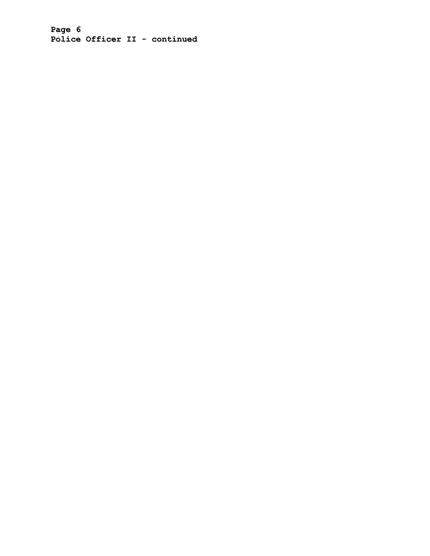**P a g e 6** Police Officer II - continued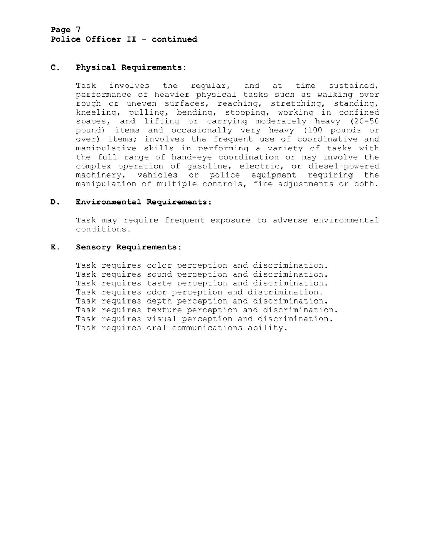# **Page 7 Police Officer II - continued**

### **C. Physical Requirements:**

Task involves the regular, and at time sustained, performance of heavier physical tasks such as walking over rough or uneven surfaces, reaching, stretching, standing, kneeling, pulling, bending, stooping, working in confined spaces, and lifting or carrying moderately heavy (20-50 pound) items and occasionally very heavy (100 pounds or over) items; involves the frequent use of coordinative and manipulative skills in performing a variety of tasks with the full range of hand-eye coordination or may involve the complex operation of gasoline, electric, or diesel-powered machinery, vehicles or police equipment requiring the manipulation of multiple controls, fine adjustments or both.

### **D. Environmental Requirements:**

Task may require frequent exposure to adverse environmental conditions.

### **E. Sensory Requirements:**

Task requires color perception and discrimination. Task requires sound perception and discrimination. Task requires taste perception and discrimination. Task requires odor perception and discrimination. Task requires depth perception and discrimination. Task requires texture perception and discrimination. Task requires visual perception and discrimination. Task requires oral communications ability.